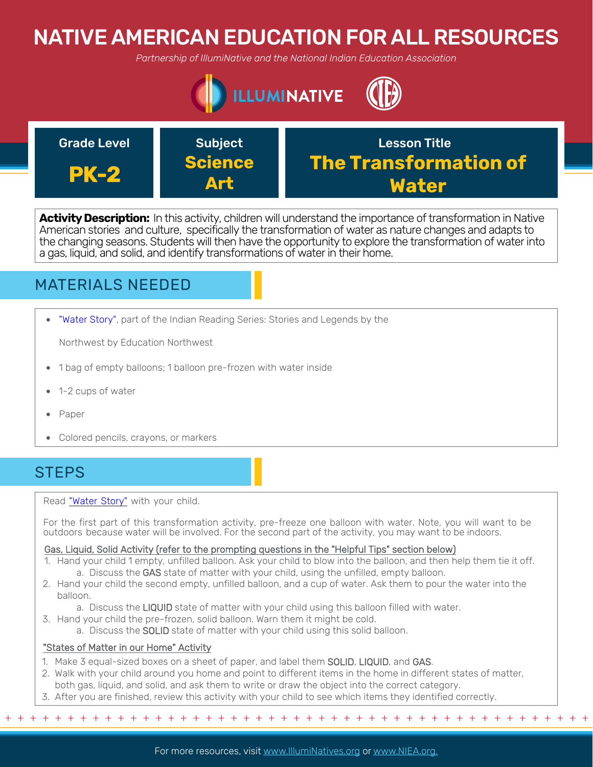# NATIVE AMERICAN EDUCATION FOR ALL RESOURCES

*Partnership of IllumiNative and the National Indian Education Association*





**Activity Description:** In this activity, children will understand the importance of transformation in Native American stories and culture, specifically the transformation of water as nature changes and adapts to the changing seasons. Students will then have the opportunity to explore the transformation of water into a gas, liquid, and solid, and identify transformations of water in their home.

## MATERIALS NEEDED

• ["Water Story"](http://apps.educationnorthwest.org/indianreading/2/book15.pdf), part of the Indian Reading Series: Stories and Legends by the

Northwest by Education Northwest

- 1 bag of empty balloons; 1 balloon pre-frozen with water inside
- 1-2 cups of water
- Paper
- Colored pencils, crayons, or markers

### **STEPS**

Read ["Water Story](http://apps.educationnorthwest.org/indianreading/2/book15.pdf)" with your child.

For the first part of this transformation activity, pre-freeze one balloon with water. Note, you will want to be outdoors because water will be involved. For the second part of the activity, you may want to be indoors.

### Gas, Liquid, Solid Activity (refer to the prompting questions in the "Helpful Tips" section below)

- 1. Hand your child 1 empty, unfilled balloon. Ask your child to blow into the balloon, and then help them tie it off. a. Discuss the GAS state of matter with your child, using the unfilled, empty balloon.
- 2. Hand your child the second empty, unfilled balloon, and a cup of water. Ask them to pour the water into the balloon.

a. Discuss the LIQUID state of matter with your child using this balloon filled with water.

- 3. Hand your child the pre-frozen, solid balloon. Warn them it might be cold.
	- a. Discuss the SOLID state of matter with your child using this solid balloon.

### "States of Matter in our Home" Activity

- 1. Make 3 equal-sized boxes on a sheet of paper, and label them SOLID, LIQUID, and GAS.
- 2. Walk with your child around you home and point to different items in the home in different states of matter, both gas, liquid, and solid, and ask them to write or draw the object into the correct category.
- 3. After you are finished, review this activity with your child to see which items they identified correctly.

+ + + + + + + + + + + + + + + + + + + + + + + + + + + + + + + + + + + + + + + + + + + + + + + +